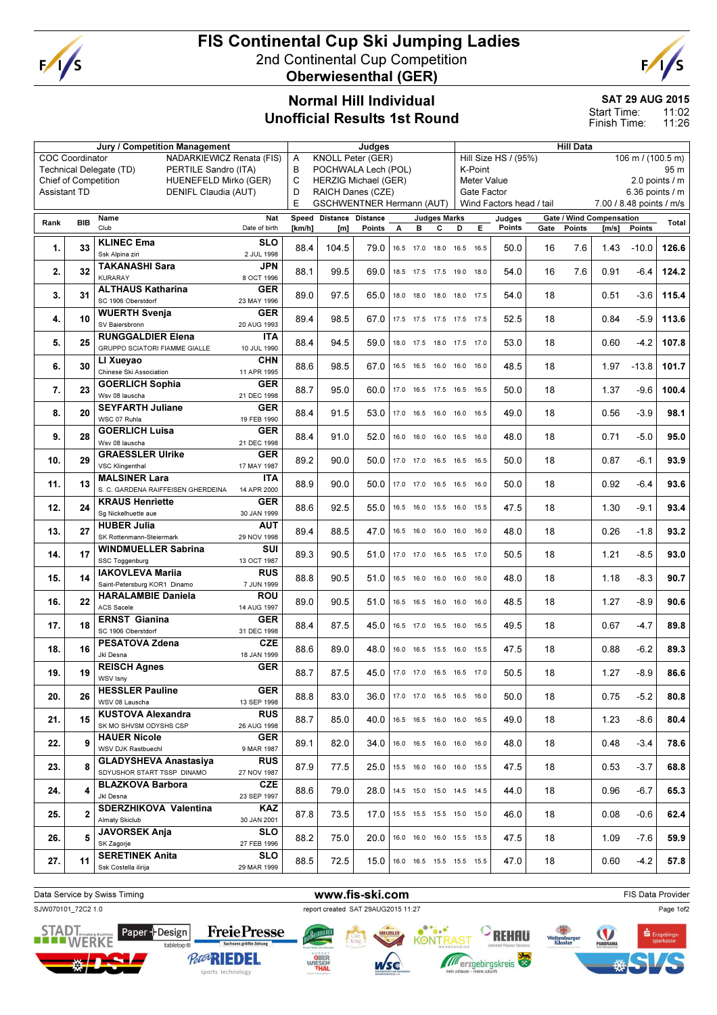

# FIS Continental Cup Ski Jumping Ladies 2nd Continental Cup Competition

Oberwiesenthal (GER)



### Normal Hill Individual Unofficial Results 1st Round

### SAT 29 AUG 2015

11:02 11:26 Start Time: Finish Time:

|                                                      |                        | Jury / Competition Management                   | Judges                                                     |        |                         |                          |   |                                       | <b>Hill Data</b>    |                 |                                           |                          |                 |        |                                 |                          |       |
|------------------------------------------------------|------------------------|-------------------------------------------------|------------------------------------------------------------|--------|-------------------------|--------------------------|---|---------------------------------------|---------------------|-----------------|-------------------------------------------|--------------------------|-----------------|--------|---------------------------------|--------------------------|-------|
|                                                      | <b>COC Coordinator</b> | NADARKIEWICZ Renata (FIS)                       |                                                            | Α      |                         | <b>KNOLL Peter (GER)</b> |   |                                       |                     |                 | Hill Size HS / (95%)<br>106 m / (100.5 m) |                          |                 |        |                                 |                          |       |
|                                                      |                        | PERTILE Sandro (ITA)<br>Technical Delegate (TD) |                                                            | B      |                         | POCHWALA Lech (POL)      |   |                                       |                     | K-Point<br>95 m |                                           |                          |                 |        |                                 |                          |       |
| <b>Chief of Competition</b><br>HUENEFELD Mirko (GER) |                        |                                                 | C<br><b>HERZIG Michael (GER)</b>                           |        |                         |                          |   | <b>Meter Value</b><br>2.0 points $/m$ |                     |                 |                                           |                          |                 |        |                                 |                          |       |
| <b>Assistant TD</b><br>DENIFL Claudia (AUT)          |                        |                                                 | D<br>RAICH Danes (CZE)<br><b>GSCHWENTNER Hermann (AUT)</b> |        |                         |                          |   | Gate Factor                           |                     |                 |                                           |                          | 6.36 points / m |        |                                 |                          |       |
|                                                      |                        |                                                 |                                                            | E      |                         |                          |   |                                       |                     |                 |                                           | Wind Factors head / tail |                 |        |                                 | 7.00 / 8.48 points / m/s |       |
| Rank                                                 | <b>BIB</b>             | Name                                            | Nat                                                        |        | Speed Distance Distance |                          |   |                                       | <b>Judges Marks</b> |                 |                                           | Judges                   |                 |        | <b>Gate / Wind Compensation</b> |                          | Total |
|                                                      |                        | Club                                            | Date of birth                                              | [km/h] | [m]                     | Points                   | А | в                                     | c                   | D               | Е                                         | Points                   | Gate            | Points | [m/s]                           | Points                   |       |
| 1.                                                   | 33                     | <b>KLINEC Ema</b>                               | <b>SLO</b>                                                 | 88.4   | 104.5                   | 79.0                     |   | 16.5 17.0 18.0 16.5 16.5              |                     |                 |                                           | 50.0                     | 16              | 7.6    | 1.43                            | $-10.0$                  | 126.6 |
|                                                      |                        | Ssk Alpina ziri                                 | 2 JUL 1998                                                 |        |                         |                          |   |                                       |                     |                 |                                           |                          |                 |        |                                 |                          |       |
| 2.                                                   | 32                     | <b>TAKANASHI Sara</b>                           | JPN                                                        | 88.1   | 99.5                    | 69.0                     |   | 18.5 17.5 17.5 19.0 18.0              |                     |                 |                                           | 54.0                     | 16              | 7.6    | 0.91                            | $-6.4$                   | 124.2 |
|                                                      |                        | <b>KURARAY</b>                                  | 8 OCT 1996                                                 |        |                         |                          |   |                                       |                     |                 |                                           |                          |                 |        |                                 |                          |       |
| 3.                                                   | 31                     | <b>ALTHAUS Katharina</b>                        | GER                                                        | 89.0   | 97.5                    | 65.0                     |   | 18.0 18.0 18.0 18.0 17.5              |                     |                 |                                           | 54.0                     | 18              |        | 0.51                            | $-3.6$                   | 115.4 |
|                                                      |                        | SC 1906 Oberstdorf                              | 23 MAY 1996                                                |        |                         |                          |   |                                       |                     |                 |                                           |                          |                 |        |                                 |                          |       |
| 4.                                                   | 10                     | <b>WUERTH Svenja</b><br>SV Baiersbronn          | <b>GER</b>                                                 | 89.4   | 98.5                    | 67.0                     |   | 17.5 17.5 17.5 17.5 17.5              |                     |                 |                                           | 52.5                     | 18              |        | 0.84                            | $-5.9$                   | 113.6 |
|                                                      |                        | <b>RUNGGALDIER Elena</b>                        | 20 AUG 1993                                                |        |                         |                          |   |                                       |                     |                 |                                           |                          |                 |        |                                 |                          |       |
| 5.                                                   | 25                     | GRUPPO SCIATORI FIAMME GIALLE                   | ITA<br>10 JUL 1990                                         | 88.4   | 94.5                    | 59.0                     |   | 18.0 17.5 18.0 17.5 17.0              |                     |                 |                                           | 53.0                     | 18              |        | 0.60                            | $-4.2$                   | 107.8 |
|                                                      |                        | LI Xueyao                                       | <b>CHN</b>                                                 |        |                         |                          |   |                                       |                     |                 |                                           |                          |                 |        |                                 |                          |       |
| 6.                                                   | 30                     | Chinese Ski Association                         | 11 APR 1995                                                | 88.6   | 98.5                    | 67.0                     |   | 16.5 16.5 16.0 16.0 16.0              |                     |                 |                                           | 48.5                     | 18              |        | 1.97                            | $-13.8$                  | 101.7 |
|                                                      |                        | <b>GOERLICH Sophia</b>                          | <b>GER</b>                                                 |        |                         |                          |   |                                       |                     |                 |                                           |                          |                 |        |                                 |                          |       |
| 7.                                                   | 23                     | Wsv 08 lauscha                                  | 21 DEC 1998                                                | 88.7   | 95.0                    | 60.0                     |   | 17.0 16.5 17.5 16.5 16.5              |                     |                 |                                           | 50.0                     | 18              |        | 1.37                            | $-9.6$                   | 100.4 |
| 8.                                                   | 20                     | <b>SEYFARTH Juliane</b>                         | <b>GER</b>                                                 | 88.4   | 91.5                    | 53.0                     |   |                                       |                     |                 |                                           | 49.0                     | 18              |        | 0.56                            | $-3.9$                   | 98.1  |
|                                                      |                        | WSC 07 Ruhla                                    | 19 FEB 1990                                                |        |                         |                          |   | 17.0 16.5 16.0 16.0 16.5              |                     |                 |                                           |                          |                 |        |                                 |                          |       |
| 9.                                                   | 28                     | <b>GOERLICH Luisa</b>                           | <b>GER</b>                                                 | 88.4   | 91.0                    | 52.0                     |   | 16.0 16.0 16.0 16.5 16.0              |                     |                 |                                           | 48.0                     | 18              |        | 0.71                            | $-5.0$                   | 95.0  |
|                                                      |                        | Wsv 08 lauscha                                  | 21 DEC 1998                                                |        |                         |                          |   |                                       |                     |                 |                                           |                          |                 |        |                                 |                          |       |
| 10.                                                  | 29                     | <b>GRAESSLER Ulrike</b>                         | <b>GER</b>                                                 | 89.2   | 90.0                    | 50.0                     |   | 17.0 17.0 16.5 16.5 16.5              |                     |                 |                                           | 50.0                     | 18              |        | 0.87                            | $-6.1$                   | 93.9  |
|                                                      |                        | <b>VSC Klingenthal</b>                          | 17 MAY 1987                                                |        |                         |                          |   |                                       |                     |                 |                                           |                          |                 |        |                                 |                          |       |
| 11.                                                  | 13                     | <b>MALSINER Lara</b>                            | <b>ITA</b>                                                 | 88.9   | 90.0                    | 50.0                     |   | 17.0 17.0 16.5 16.5 16.0              |                     |                 |                                           | 50.0                     | 18              |        | 0.92                            | $-6.4$                   | 93.6  |
|                                                      |                        | S. C. GARDENA RAIFFEISEN GHERDEINA              | 14 APR 2000                                                |        |                         |                          |   |                                       |                     |                 |                                           |                          |                 |        |                                 |                          |       |
| 12.                                                  | 24                     | <b>KRAUS Henriette</b><br>Sg Nickelhuette aue   | <b>GER</b><br>30 JAN 1999                                  | 88.6   | 92.5                    | 55.0                     |   | 16.5 16.0 15.5 16.0 15.5              |                     |                 |                                           | 47.5                     | 18              |        | 1.30                            | $-9.1$                   | 93.4  |
|                                                      |                        | <b>HUBER Julia</b>                              | AUT                                                        |        |                         |                          |   |                                       |                     |                 |                                           |                          |                 |        |                                 |                          |       |
| 13.                                                  | 27                     | SK Rottenmann-Steiermark                        | 29 NOV 1998                                                | 89.4   | 88.5                    | 47.0                     |   | 16.5 16.0 16.0 16.0 16.0              |                     |                 |                                           | 48.0                     | 18              |        | 0.26                            | $-1.8$                   | 93.2  |
|                                                      |                        | <b>WINDMUELLER Sabrina</b>                      | SUI                                                        |        |                         |                          |   |                                       |                     |                 |                                           |                          |                 |        |                                 |                          |       |
| 14.                                                  | 17                     | SSC Toggenburg                                  | 13 OCT 1987                                                | 89.3   | 90.5                    | 51.0                     |   | 17.0 17.0 16.5 16.5 17.0              |                     |                 |                                           | 50.5                     | 18              |        | 1.21                            | $-8.5$                   | 93.0  |
|                                                      | 14                     | <b>IAKOVLEVA Marija</b>                         | <b>RUS</b>                                                 |        |                         |                          |   |                                       |                     |                 |                                           |                          |                 |        |                                 |                          |       |
| 15.                                                  |                        | Saint-Petersburg KOR1 Dinamo                    | 7 JUN 1999                                                 | 88.8   | 90.5                    | 51.0                     |   | 16.5 16.0 16.0 16.0 16.0              |                     |                 |                                           | 48.0                     | 18              |        | 1.18                            | $-8.3$                   | 90.7  |
| 16.                                                  | 22                     | <b>HARALAMBIE Daniela</b>                       | <b>ROU</b>                                                 | 89.0   | 90.5                    | 51.0                     |   | 16.5 16.5 16.0 16.0 16.0              |                     |                 |                                           | 48.5                     | 18              |        | 1.27                            | $-8.9$                   | 90.6  |
|                                                      |                        | <b>ACS Sacele</b>                               | 14 AUG 1997                                                |        |                         |                          |   |                                       |                     |                 |                                           |                          |                 |        |                                 |                          |       |
| 17.                                                  | 18                     | <b>ERNST Gianina</b>                            | <b>GER</b>                                                 | 88.4   | 87.5                    | 45.0                     |   | 16.5 17.0 16.5 16.0 16.5              |                     |                 |                                           | 49.5                     | 18              |        | 0.67                            | $-4.7$                   | 89.8  |
|                                                      |                        | SC 1906 Oberstdorf                              | 31 DEC 1998                                                |        |                         |                          |   |                                       |                     |                 |                                           |                          |                 |        |                                 |                          |       |
| 18.                                                  | 16                     | PESATOVA Zdena<br>Jkl Desna                     | <b>CZE</b>                                                 | 88.6   | 89.0                    | 48.0                     |   | 16.0 16.5 15.5 16.0 15.5              |                     |                 |                                           | 47.5                     | 18              |        | 0.88                            | $-6.2$                   | 89.3  |
|                                                      |                        | <b>REISCH Agnes</b>                             | 18 JAN 1999<br><b>GER</b>                                  |        |                         |                          |   |                                       |                     |                 |                                           |                          |                 |        |                                 |                          |       |
| 19.                                                  | 19                     | WSV Isny                                        |                                                            | 88.7   | 87.5                    | 45.0                     |   | 17.0 17.0 16.5 16.5 17.0              |                     |                 |                                           | 50.5                     | 18              |        | 1.27                            | $-8.9$                   | 86.6  |
|                                                      |                        | <b>HESSLER Pauline</b>                          | <b>GER</b>                                                 |        |                         |                          |   |                                       |                     |                 |                                           |                          |                 |        |                                 |                          |       |
| 20.                                                  | 26                     | WSV 08 Lauscha                                  | 13 SEP 1998                                                | 88.8   | 83.0                    | 36.0                     |   | 17.0 17.0 16.5 16.5 16.0              |                     |                 |                                           | 50.0                     | 18              |        | 0.75                            | $-5.2$                   | 80.8  |
|                                                      |                        | <b>KUSTOVA Alexandra</b>                        | <b>RUS</b>                                                 |        |                         |                          |   |                                       |                     |                 |                                           |                          |                 |        |                                 |                          |       |
| 21.                                                  | 15                     | SK MO SHVSM ODYSHS CSP                          | 26 AUG 1998                                                | 88.7   | 85.0                    | 40.0                     |   | 16.5 16.5 16.0 16.0 16.5              |                     |                 |                                           | 49.0                     | 18              |        | 1.23                            | $-8.6$                   | 80.4  |
|                                                      | 9                      | <b>HAUER Nicole</b>                             | <b>GER</b>                                                 |        |                         |                          |   |                                       |                     |                 |                                           |                          |                 |        |                                 |                          |       |
| 22.                                                  |                        | WSV DJK Rastbuechl                              | 9 MAR 1987                                                 | 89.1   | 82.0                    | 34.0                     |   | 16.0 16.5 16.0 16.0 16.0              |                     |                 |                                           | 48.0                     | 18              |        | 0.48                            | $-3.4$                   | 78.6  |
| 23.                                                  | 8                      | <b>GLADYSHEVA Anastasiya</b>                    | <b>RUS</b>                                                 | 87.9   | 77.5                    | 25.0                     |   | 15.5 16.0 16.0 16.0 15.5              |                     |                 |                                           | 47.5                     | 18              |        | 0.53                            | $-3.7$                   | 68.8  |
|                                                      |                        | SDYUSHOR START TSSP DINAMO                      | 27 NOV 1987                                                |        |                         |                          |   |                                       |                     |                 |                                           |                          |                 |        |                                 |                          |       |
| 24.                                                  | 4                      | <b>BLAZKOVA Barbora</b>                         | <b>CZE</b>                                                 | 88.6   | 79.0                    | 28.0                     |   | 14.5 15.0 15.0 14.5 14.5              |                     |                 |                                           | 44.0                     | 18              |        | 0.96                            | $-6.7$                   | 65.3  |
|                                                      |                        | Jkl Desna                                       | 23 SEP 1997                                                |        |                         |                          |   |                                       |                     |                 |                                           |                          |                 |        |                                 |                          |       |
| 25.                                                  | 2                      | SDERZHIKOVA Valentina                           | KAZ                                                        | 87.8   | 73.5                    | 17.0                     |   | 15.5 15.5 15.5 15.0 15.0              |                     |                 |                                           | 46.0                     | 18              |        | 0.08                            | $-0.6$                   | 62.4  |
|                                                      |                        | Almaty Skiclub                                  | 30 JAN 2001                                                |        |                         |                          |   |                                       |                     |                 |                                           |                          |                 |        |                                 |                          |       |
| 26.                                                  | 5                      | <b>JAVORSEK Anja</b><br>SK Zagorje              | <b>SLO</b><br>27 FEB 1996                                  | 88.2   | 75.0                    | 20.0                     |   | 16.0 16.0 16.0 15.5 15.5              |                     |                 |                                           | 47.5                     | 18              |        | 1.09                            | $-7.6$                   | 59.9  |
|                                                      |                        | <b>SERETINEK Anita</b>                          | <b>SLO</b>                                                 |        |                         |                          |   |                                       |                     |                 |                                           |                          |                 |        |                                 |                          |       |
| 27.                                                  | 11                     | Ssk Costella ilirija                            | 29 MAR 1999                                                | 88.5   | 72.5                    | 15.0                     |   | 16.0 16.5 15.5 15.5 15.5              |                     |                 |                                           | 47.0                     | 18              |        | 0.60                            | $-4.2$                   | 57.8  |
|                                                      |                        |                                                 |                                                            |        |                         |                          |   |                                       |                     |                 |                                           |                          |                 |        |                                 |                          |       |



**WWFR** 

wse

**KONTRAS** 

**FreiePresse** 

**PeterRIEDEL** 

sports technology

Page 1of2



**STADT** Paper-*+*Design

tabletop ®